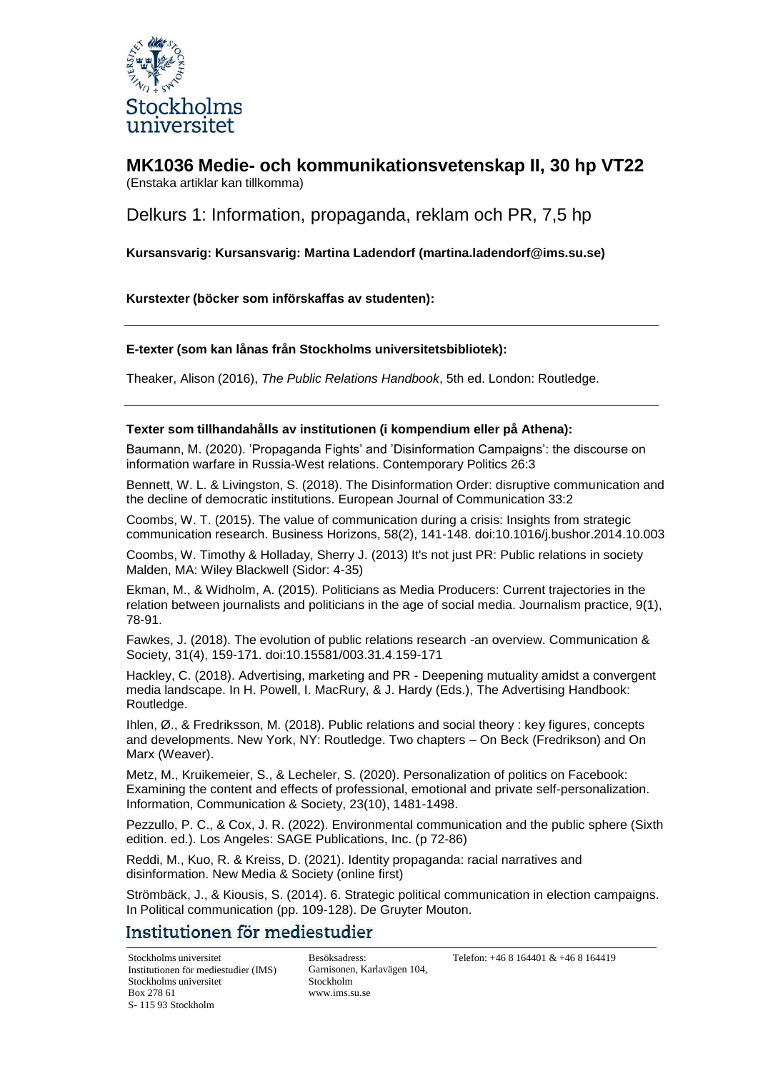

**MK1036 Medie- och kommunikationsvetenskap II, 30 hp VT22** (Enstaka artiklar kan tillkomma)

Delkurs 1: Information, propaganda, reklam och PR, 7,5 hp

**Kursansvarig: Kursansvarig: Martina Ladendorf (martina.ladendorf@ims.su.se)**

**Kurstexter (böcker som införskaffas av studenten):**

#### **E-texter (som kan lånas från Stockholms universitetsbibliotek):**

Theaker, Alison (2016), *The Public Relations Handbook*, 5th ed. London: Routledge.

#### **Texter som tillhandahålls av institutionen (i kompendium eller på Athena):**

Baumann, M. (2020). 'Propaganda Fights' and 'Disinformation Campaigns': the discourse on information warfare in Russia-West relations. Contemporary Politics 26:3

Bennett, W. L. & Livingston, S. (2018). The Disinformation Order: disruptive communication and the decline of democratic institutions. European Journal of Communication 33:2

Coombs, W. T. (2015). The value of communication during a crisis: Insights from strategic communication research. Business Horizons, 58(2), 141-148. doi:10.1016/j.bushor.2014.10.003

Coombs, W. Timothy & Holladay, Sherry J. (2013) It's not just PR: Public relations in society Malden, MA: Wiley Blackwell (Sidor: 4-35)

Ekman, M., & Widholm, A. (2015). Politicians as Media Producers: Current trajectories in the relation between journalists and politicians in the age of social media. Journalism practice, 9(1), 78-91.

Fawkes, J. (2018). The evolution of public relations research -an overview. Communication & Society, 31(4), 159-171. doi:10.15581/003.31.4.159-171

Hackley, C. (2018). Advertising, marketing and PR - Deepening mutuality amidst a convergent media landscape. In H. Powell, I. MacRury, & J. Hardy (Eds.), The Advertising Handbook: Routledge.

Ihlen, Ø., & Fredriksson, M. (2018). Public relations and social theory : key figures, concepts and developments. New York, NY: Routledge. Two chapters – On Beck (Fredrikson) and On Marx (Weaver).

Metz, M., Kruikemeier, S., & Lecheler, S. (2020). Personalization of politics on Facebook: Examining the content and effects of professional, emotional and private self-personalization. Information, Communication & Society, 23(10), 1481-1498.

Pezzullo, P. C., & Cox, J. R. (2022). Environmental communication and the public sphere (Sixth edition. ed.). Los Angeles: SAGE Publications, Inc. (p 72-86)

Reddi, M., Kuo, R. & Kreiss, D. (2021). Identity propaganda: racial narratives and disinformation. New Media & Society (online first)

Strömbäck, J., & Kiousis, S. (2014). 6. Strategic political communication in election campaigns. In Political communication (pp. 109-128). De Gruyter Mouton.

### Institutionen för mediestudier

Stockholms universitet Institutionen för mediestudier (IMS) Stockholms universitet Box 278 61 S- 115 93 Stockholm

Besöksadress: Garnisonen, Karlavägen 104, Stockholm [www.ims.su.se](http://www.ims.su.se/)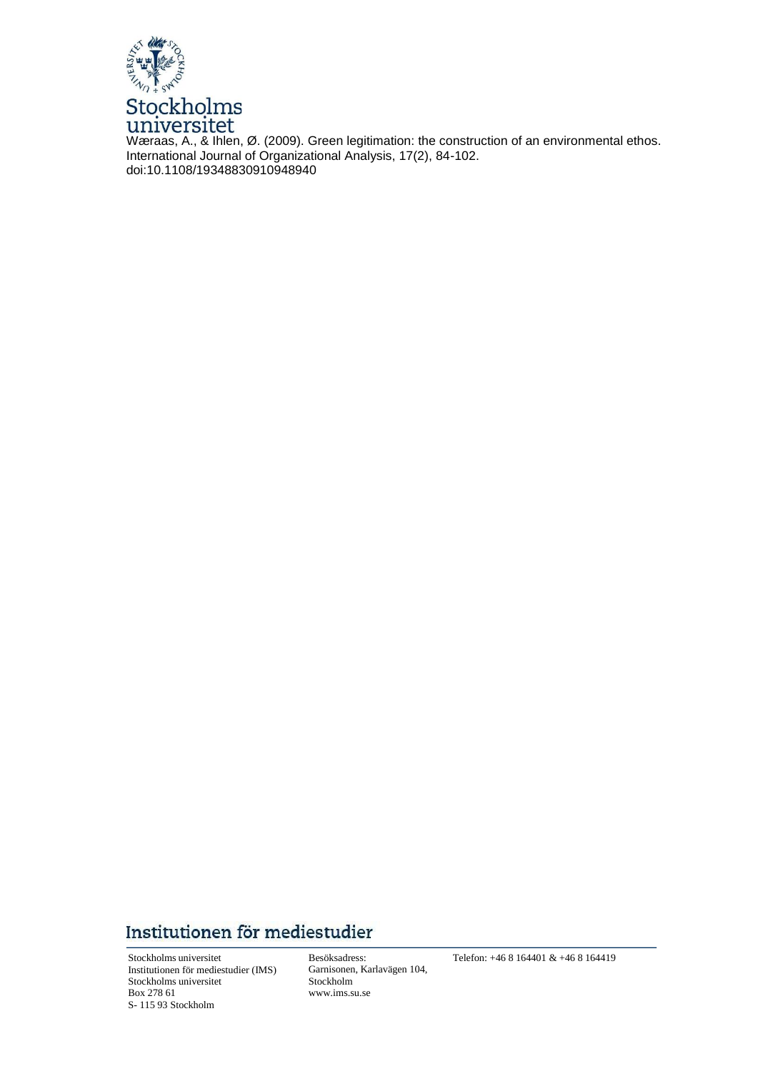

Wæraas, A., & Ihlen, Ø. (2009). Green legitimation: the construction of an environmental ethos. International Journal of Organizational Analysis, 17(2), 84-102. doi:10.1108/19348830910948940

# Institutionen för mediestudier

Stockholms universitet Institutionen för mediestudier (IMS) Stockholms universitet Box 278 61 S- 115 93 Stockholm

Besöksadress: Garnisonen, Karlavägen 104, Stockholm [www.ims.su.se](http://www.ims.su.se/)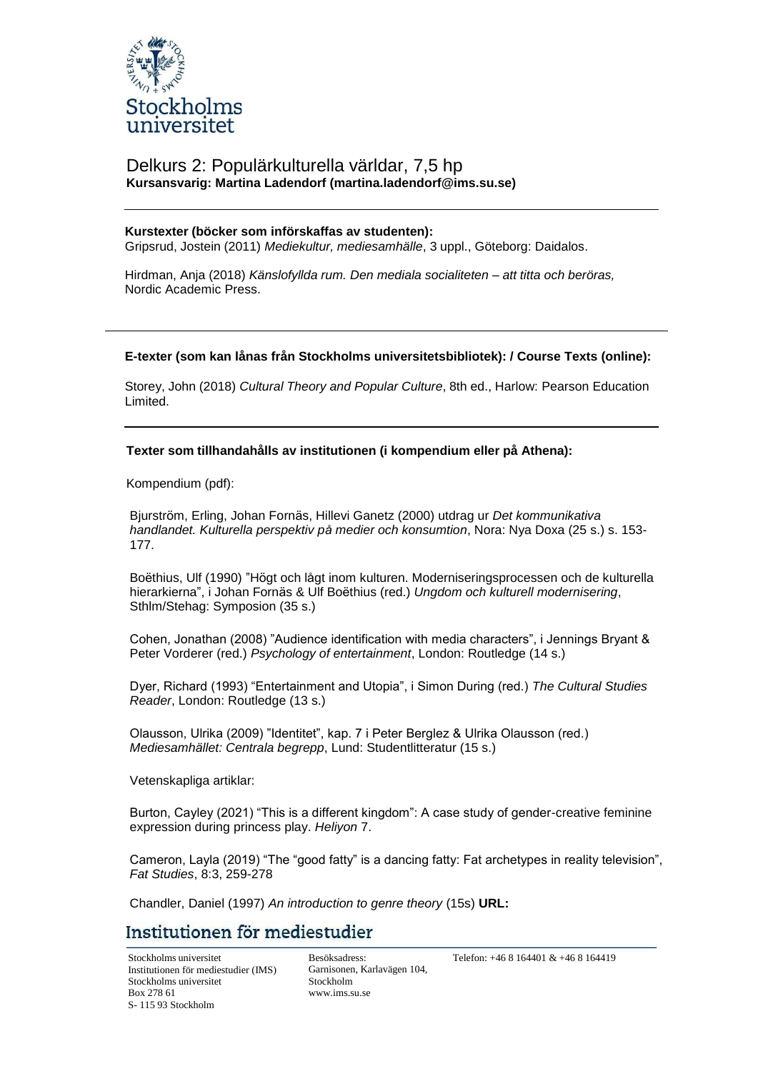

### Delkurs 2: Populärkulturella världar, 7,5 hp **Kursansvarig: Martina Ladendorf (martina.ladendorf@ims.su.se)**

#### **Kurstexter (böcker som införskaffas av studenten):**

Gripsrud, Jostein (2011) *Mediekultur, mediesamhälle*, 3 uppl., Göteborg: Daidalos.

Hirdman, Anja (2018) *Känslofyllda rum. Den mediala socialiteten – att titta och beröras,* Nordic Academic Press.

#### **E-texter (som kan lånas från Stockholms universitetsbibliotek): / Course Texts (online):**

Storey, John (2018) *Cultural Theory and Popular Culture*, 8th ed., Harlow: Pearson Education Limited.

**Texter som tillhandahålls av institutionen (i kompendium eller på Athena):**

Kompendium (pdf):

Bjurström, Erling, Johan Fornäs, Hillevi Ganetz (2000) utdrag ur *Det kommunikativa handlandet. Kulturella perspektiv på medier och konsumtion*, Nora: Nya Doxa (25 s.) s. 153- 177.

Boëthius, Ulf (1990) "Högt och lågt inom kulturen. Moderniseringsprocessen och de kulturella hierarkierna", i Johan Fornäs & Ulf Boëthius (red.) *Ungdom och kulturell modernisering*, Sthlm/Stehag: Symposion (35 s.)

Cohen, Jonathan (2008) "Audience identification with media characters", i Jennings Bryant & Peter Vorderer (red.) *Psychology of entertainment*, London: Routledge (14 s.)

Dyer, Richard (1993) "Entertainment and Utopia", i Simon During (red.) *The Cultural Studies Reader*, London: Routledge (13 s.)

Olausson, Ulrika (2009) "Identitet", kap. 7 i Peter Berglez & Ulrika Olausson (red.) *Mediesamhället: Centrala begrepp*, Lund: Studentlitteratur (15 s.)

Vetenskapliga artiklar:

Burton, Cayley (2021) "This is a different kingdom": A case study of gender-creative feminine expression during princess play. *Heliyon* 7.

Cameron, Layla (2019) "The "good fatty" is a dancing fatty: Fat archetypes in reality television", *Fat Studies*, 8:3, 259-278

Chandler, Daniel (1997) *An introduction to genre theory* (15s) **URL:** 

### Institutionen för mediestudier

Stockholms universitet Institutionen för mediestudier (IMS) Stockholms universitet Box 278 61 S- 115 93 Stockholm

Besöksadress: Garnisonen, Karlavägen 104, Stockholm [www.ims.su.se](http://www.ims.su.se/)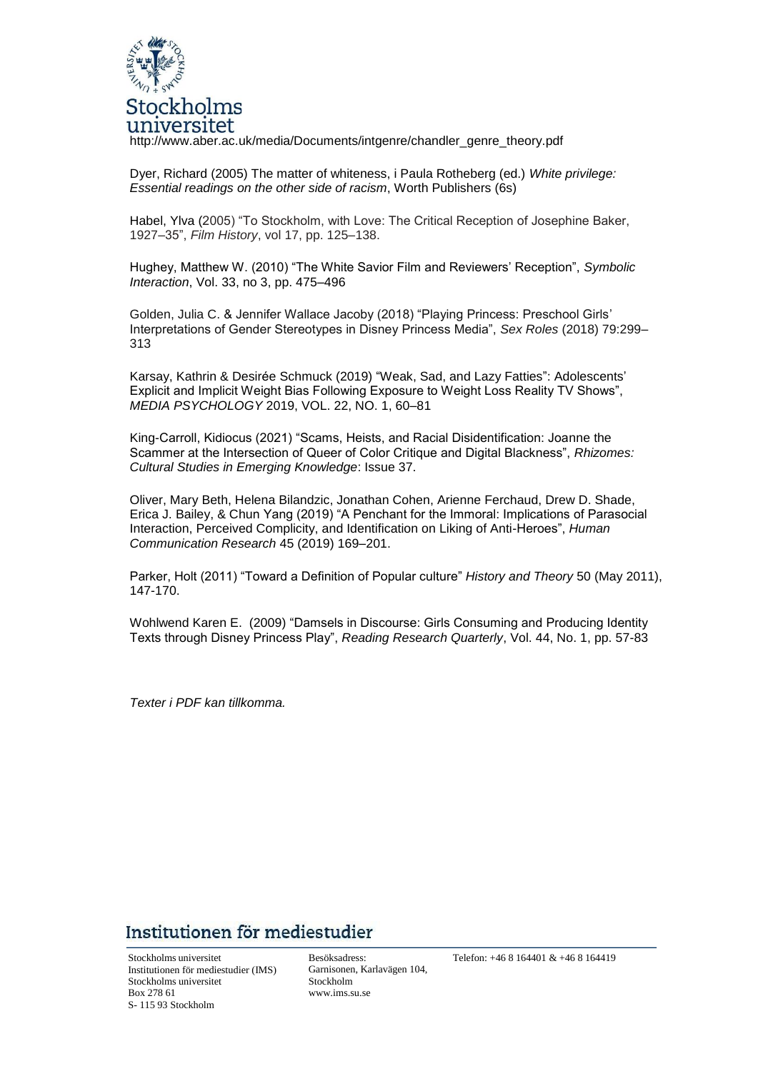

http://www.aber.ac.uk/media/Documents/intgenre/chandler\_genre\_theory.pdf

Dyer, Richard (2005) The matter of whiteness, i Paula Rotheberg (ed.) *White privilege: Essential readings on the other side of racism*, Worth Publishers (6s)

Habel, Ylva (2005) "To Stockholm, with Love: The Critical Reception of Josephine Baker, 1927–35", *Film History*, vol 17, pp. 125–138.

Hughey, Matthew W. (2010) "The White Savior Film and Reviewers' Reception", *Symbolic Interaction*, Vol. 33, no 3, pp. 475–496

Golden, Julia C. & Jennifer Wallace Jacoby (2018) "Playing Princess: Preschool Girls' Interpretations of Gender Stereotypes in Disney Princess Media", *Sex Roles* (2018) 79:299– 313

Karsay, Kathrin & Desirée Schmuck (2019) "Weak, Sad, and Lazy Fatties": Adolescents' Explicit and Implicit Weight Bias Following Exposure to Weight Loss Reality TV Shows", *MEDIA PSYCHOLOGY* 2019, VOL. 22, NO. 1, 60–81

King-Carroll, Kidiocus (2021) "Scams, Heists, and Racial Disidentification: Joanne the Scammer at the Intersection of Queer of Color Critique and Digital Blackness", *Rhizomes: Cultural Studies in Emerging Knowledge*: Issue 37.

Oliver, Mary Beth, Helena Bilandzic, Jonathan Cohen, Arienne Ferchaud, Drew D. Shade, Erica J. Bailey, & Chun Yang (2019) "A Penchant for the Immoral: Implications of Parasocial Interaction, Perceived Complicity, and Identification on Liking of Anti-Heroes", *Human Communication Research* 45 (2019) 169–201.

Parker, Holt (2011) "Toward a Definition of Popular culture" *History and Theory* 50 (May 2011), 147-170.

Wohlwend Karen E. (2009) "Damsels in Discourse: Girls Consuming and Producing Identity Texts through Disney Princess Play", *Reading Research Quarterly*, Vol. 44, No. 1, pp. 57-83

*Texter i PDF kan tillkomma.*

## Institutionen för mediestudier

Stockholms universitet Institutionen för mediestudier (IMS) Stockholms universitet Box 278 61 S- 115 93 Stockholm

Besöksadress: Garnisonen, Karlavägen 104, Stockholm [www.ims.su.se](http://www.ims.su.se/)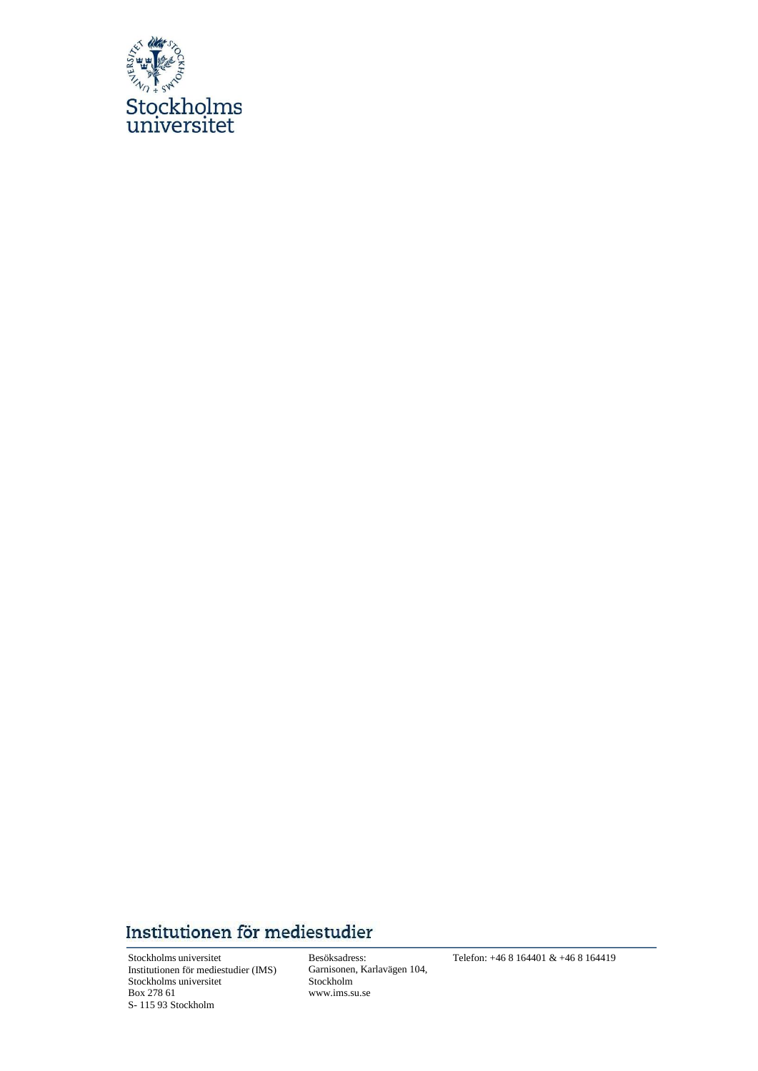

# Institutionen för mediestudier

Stockholms universitet Institutionen för mediestudier (IMS) Stockholms universitet Box 278 61 S- 115 93 Stockholm

Besöksadress: Garnisonen, Karlavägen 104, Stockholm [www.ims.su.se](http://www.ims.su.se/)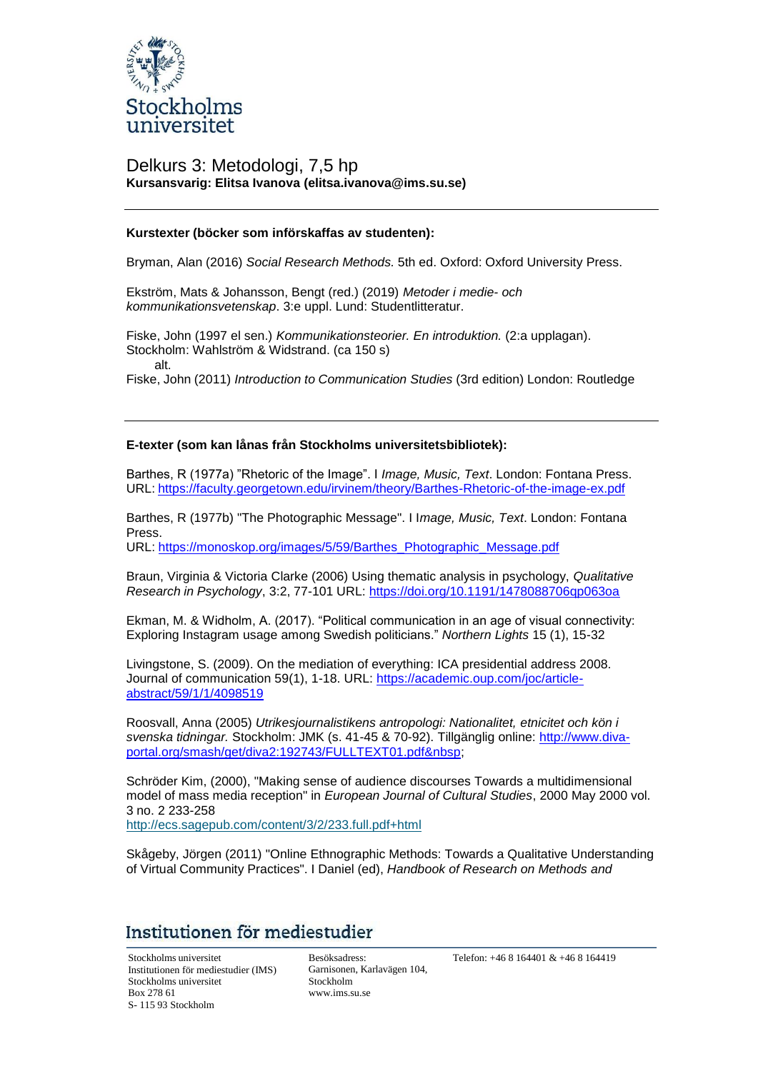

### Delkurs 3: Metodologi, 7,5 hp **Kursansvarig: Elitsa Ivanova (elitsa.ivanova@ims.su.se)**

#### **Kurstexter (böcker som införskaffas av studenten):**

Bryman, Alan (2016) *Social Research Methods.* 5th ed. Oxford: Oxford University Press.

Ekström, Mats & Johansson, Bengt (red.) (2019) *Metoder i medie- och kommunikationsvetenskap*. 3:e uppl. Lund: Studentlitteratur.

Fiske, John (1997 el sen.) *Kommunikationsteorier. En introduktion.* (2:a upplagan). Stockholm: Wahlström & Widstrand. (ca 150 s) alt.

Fiske, John (2011) *Introduction to Communication Studies* (3rd edition) London: Routledge

#### **E-texter (som kan lånas från Stockholms universitetsbibliotek):**

Barthes, R (1977a) "Rhetoric of the Image". I *Image, Music, Text*. London: Fontana Press. URL: https://faculty.georgetown.edu/irvinem/theory/Barthes-Rhetoric-of-the-image-ex.pdf

Barthes, R (1977b) "The Photographic Message". I I*mage, Music, Text*. London: Fontana Press.

URL: https://monoskop.org/images/5/59/Barthes\_Photographic\_Message.pdf

Braun, Virginia & Victoria Clarke (2006) Using thematic analysis in psychology, *Qualitative Research in Psychology*, 3:2, 77-101 URL: https://doi.org/10.1191/1478088706qp063oa

Ekman, M. & Widholm, A. (2017). "Political communication in an age of visual connectivity: Exploring Instagram usage among Swedish politicians." *Northern Lights* 15 (1), 15-32

Livingstone, S. (2009). On the mediation of everything: ICA presidential address 2008. Journal of communication 59(1), 1-18. URL: [https://academic.oup.com/joc/article](https://academic.oup.com/joc/article-abstract/59/1/1/4098519)[abstract/59/1/1/4098519](https://academic.oup.com/joc/article-abstract/59/1/1/4098519)

Roosvall, Anna (2005) *Utrikesjournalistikens antropologi: Nationalitet, etnicitet och kön i svenska tidningar.* Stockholm: JMK (s. 41-45 & 70-92). Tillgänglig online: http://www.divaportal.org/smash/get/diva2:192743/FULLTEXT01.pdf

Schröder Kim, (2000), "Making sense of audience discourses Towards a multidimensional model of mass media reception" in *European Journal of Cultural Studies*, 2000 May 2000 vol. 3 no. 2 233-258

[http://ecs.sagepub.com/content/3/2/233.full.pdf+html](http://ecs.sagepub.com/content/3/2/233.full.pdf%2Bhtml)

Skågeby, Jörgen (2011) "Online Ethnographic Methods: Towards a Qualitative Understanding of Virtual Community Practices". I Daniel (ed), *Handbook of Research on Methods and*

### Institutionen för mediestudier

Stockholms universitet Institutionen för mediestudier (IMS) Stockholms universitet Box 278 61 S- 115 93 Stockholm

Besöksadress: Garnisonen, Karlavägen 104, Stockholm [www.ims.su.se](http://www.ims.su.se/)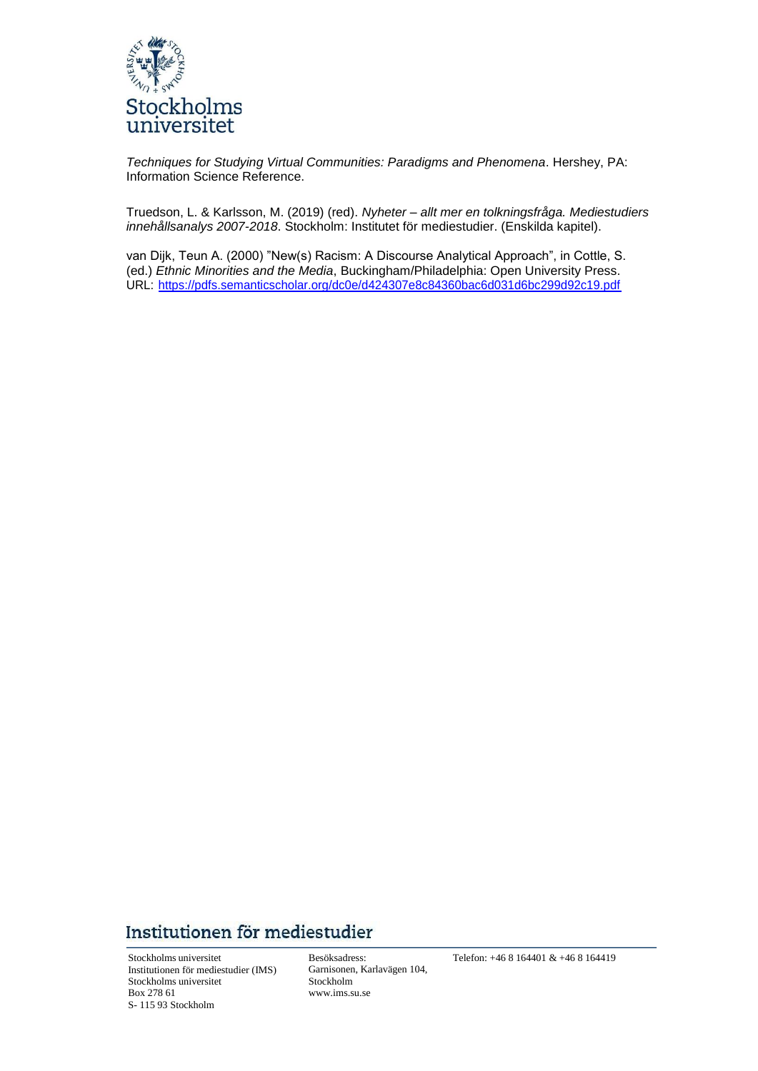

*Techniques for Studying Virtual Communities: Paradigms and Phenomena*. Hershey, PA: Information Science Reference.

Truedson, L. & Karlsson, M. (2019) (red). *Nyheter – allt mer en tolkningsfråga. Mediestudiers innehållsanalys 2007-2018*. Stockholm: Institutet för mediestudier. (Enskilda kapitel).

van Dijk, Teun A. (2000) "New(s) Racism: A Discourse Analytical Approach", in Cottle, S. (ed.) *Ethnic Minorities and the Media*, Buckingham/Philadelphia: Open University Press. URL: https://pdfs.semanticscholar.org/dc0e/d424307e8c84360bac6d031d6bc299d92c19.pdf

# Institutionen för mediestudier

Stockholms universitet Institutionen för mediestudier (IMS) Stockholms universitet Box 278 61 S- 115 93 Stockholm

Besöksadress: Garnisonen, Karlavägen 104, Stockholm [www.ims.su.se](http://www.ims.su.se/)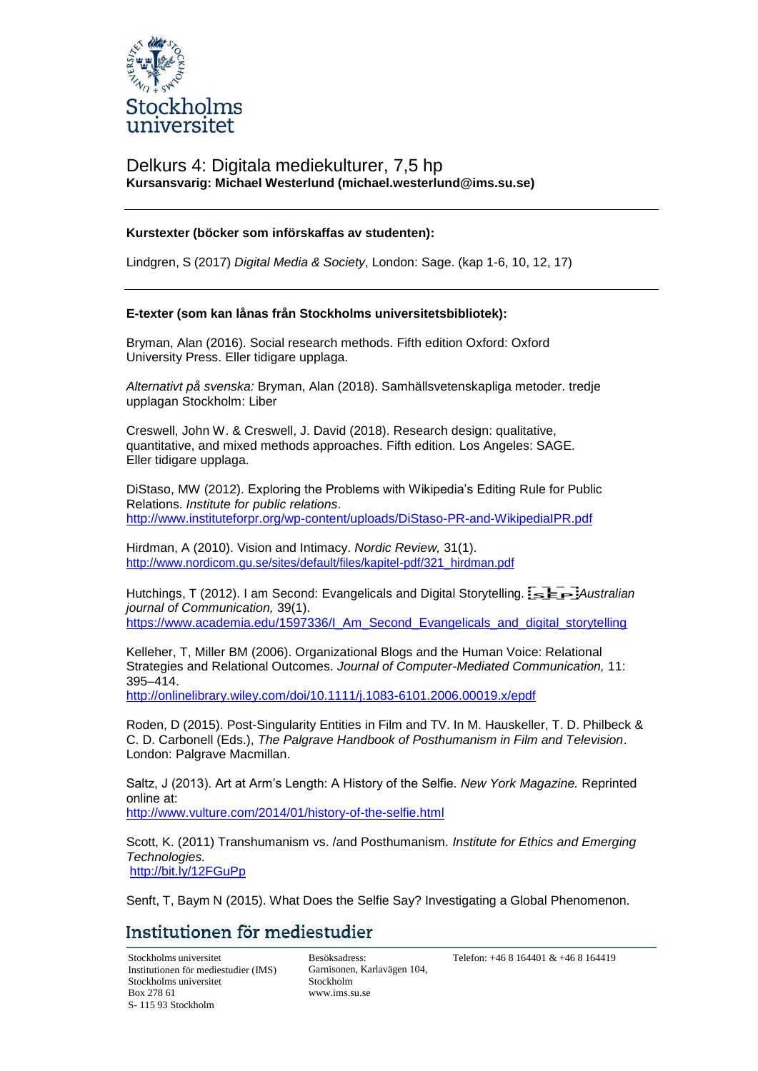

### Delkurs 4: Digitala mediekulturer, 7,5 hp **Kursansvarig: Michael Westerlund (michael.westerlund@ims.su.se)**

#### **Kurstexter (böcker som införskaffas av studenten):**

Lindgren, S (2017) *Digital Media & Society*, London: Sage. (kap 1-6, 10, 12, 17)

#### **E-texter (som kan lånas från Stockholms universitetsbibliotek):**

Bryman, Alan (2016). Social research methods. Fifth edition Oxford: Oxford University Press. Eller tidigare upplaga.

*Alternativt på svenska:* Bryman, Alan (2018). Samhällsvetenskapliga metoder. tredje upplagan Stockholm: Liber

Creswell, John W. & Creswell, J. David (2018). Research design: qualitative, quantitative, and mixed methods approaches. Fifth edition. Los Angeles: SAGE. Eller tidigare upplaga.

DiStaso, MW (2012). Exploring the Problems with Wikipedia's Editing Rule for Public Relations. *Institute for public relations*. <http://www.instituteforpr.org/wp-content/uploads/DiStaso-PR-and-WikipediaIPR.pdf>

Hirdman, A (2010). Vision and Intimacy. *Nordic Review,* 31(1). [http://www.nordicom.gu.se/sites/default/files/kapitel-pdf/321\\_hirdman.pdf](http://www.nordicom.gu.se/sites/default/files/kapitel-pdf/321_hirdman.pdf)

Hutchings, T (2012). I am Second: Evangelicals and Digital Storytelling.  $\overline{B} = \overline{B}$ . *Australian journal of Communication,* 39(1). https:/[/www.academia.edu/1597336/I\\_Am\\_Second\\_Evangelicals\\_and\\_digital\\_storytelling](http://www.academia.edu/1597336/I_Am_Second_Evangelicals_and_digital_storytelling)

Kelleher, T, Miller BM (2006). Organizational Blogs and the Human Voice: Relational Strategies and Relational Outcomes. *Journal of Computer-Mediated Communication,* 11: 395–414.

<http://onlinelibrary.wiley.com/doi/10.1111/j.1083-6101.2006.00019.x/epdf>

Roden, D (2015). Post-Singularity Entities in Film and TV. In M. Hauskeller, T. D. Philbeck & C. D. Carbonell (Eds.), *The Palgrave Handbook of Posthumanism in Film and Television*. London: Palgrave Macmillan.

Saltz, J (2013). Art at Arm's Length: A History of the Selfie. *New York Magazine.* Reprinted online at: <http://www.vulture.com/2014/01/history-of-the-selfie.html>

Scott, K. (2011) Transhumanism vs. /and Posthumanism*. Institute for Ethics and Emerging Technologies.* <http://bit.ly/12FGuPp>

Senft, T, Baym N (2015). What Does the Selfie Say? Investigating a Global Phenomenon.

## Institutionen för mediestudier

Stockholms universitet Institutionen för mediestudier (IMS) Stockholms universitet Box 278 61 S- 115 93 Stockholm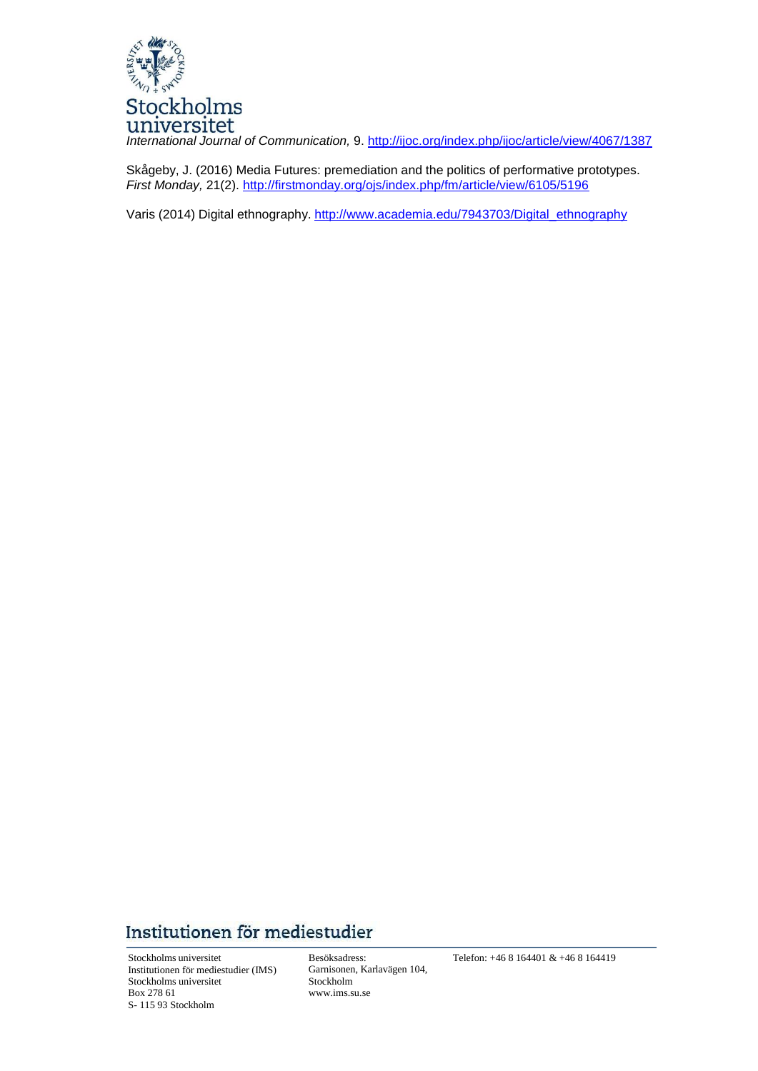

*International Journal of Communication,* 9. <http://ijoc.org/index.php/ijoc/article/view/4067/1387>

Skågeby, J. (2016) Media Futures: premediation and the politics of performative prototypes. *First Monday,* 21(2). <http://firstmonday.org/ojs/index.php/fm/article/view/6105/5196>

Varis (2014) Digital ethnography. [http://www.academia.edu/7943703/Digital\\_ethnography](http://www.academia.edu/7943703/Digital_ethnography)

# Institutionen för mediestudier

Stockholms universitet Institutionen för mediestudier (IMS) Stockholms universitet Box 278 61 S- 115 93 Stockholm

Besöksadress: Garnisonen, Karlavägen 104, Stockholm [www.ims.su.se](http://www.ims.su.se/)